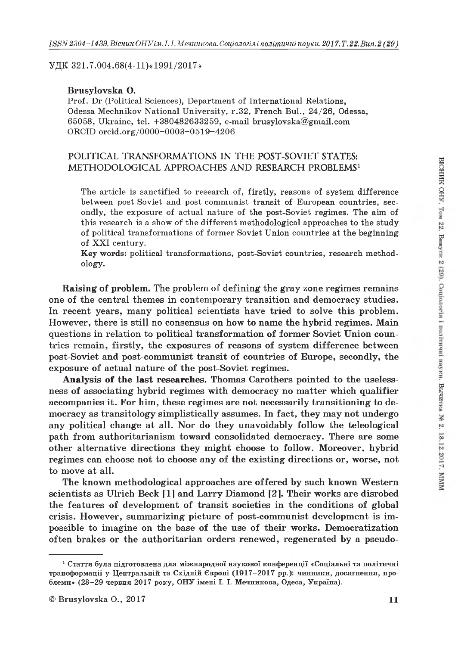УДК 321.7.004.68(4-11)«1991/2017»

# Brusylovska О.

Prof. Dr (Political Sciences), Department of International Relations, Odessa Mechnikov National University, r.32, French Bui., 24/26, Odessa, 65058, Ukraine, tel. +380482633259, e-mail [brusylovska@gmail.com](mailto:brusylovska@gmail.com) ORCID orcid.org/0000-0003-0519-4206

# POLITICAL TRANSFORMATIONS IN THE POST-SOVIET STATES: METHODOLOGICAL APPROACHES AND RESEARCH PROBLEMS<sup>1</sup>

The article is sanctified to research of, firstly, reasons of system difference between post-Soviet and post-communist transit of European countries, secondly, the exposure of actual nature of the post-Soviet regimes. The aim of this research is a show of the different methodological approaches to the study of political transformations of former Soviet Union countries at the beginning of XXI century.

Key words: political transformations, post-Soviet countries, research methodology.

Raising of problem. The problem of defining the gray zone regimes remains one of the central themes in contemporary transition and democracy studies. In recent years, many political scientists have tried to solve this problem. However, there is still no consensus on how to name the hybrid regimes. Main questions in relation to political transformation of former Soviet Union countries remain, firstly, the exposures of reasons of system difference between post-Soviet and post-communist transit of countries of Europe, secondly, the exposure of actual nature of the post-Soviet regimes.

Analysis of the last researches. Thomas Carothers pointed to the uselessness of associating hybrid regimes with democracy no matter which qualifier accompanies it. For him, these regimes are not necessarily transitioning to democracy as transitology simplistically assumes. In fact, they may not undergo any political change at all. Nor do they unavoidably follow the teleological path from authoritarianism toward consolidated democracy. There are some other alternative directions they might choose to follow. Moreover, hybrid regimes can choose not to choose any of the existing directions or, worse, not to move at all.

The known methodological approaches are offered by such known Western scientists as Ulrich Beck [1] and Larry Diamond [2]. Their works are disrobed the features of development of transit societies in the conditions of global crisis. However, summarizing picture of post-communist development is impossible to imagine on the base of the use of their works. Democratization often brakes or the authoritarian orders renewed, regenerated by a pseudo-

 $^1$  Стаття була підготовлена для міжнародної наукової конференції «Соціальні та політичні трансформації у Центральній та Східній Європі (1917–2017 рр.): чинники, досягнення, проблеми» (28—29 червня 2017 року, ОНУ імені І. І. Мечникова, Одеса, Україна).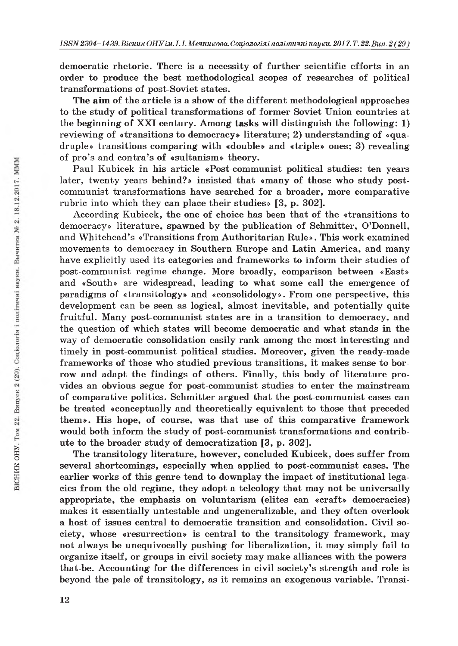democratic rhetoric. There is a necessity of further scientific efforts in an order to produce the hest methodological scopes of researches of political transformations of post-Soviet states.

The aim of the article is a show of the different methodological approaches to the study of political transformations of former Soviet Union countries at the beginning of XXI century. Among tasks will distinguish the following: 1) reviewing of «transitions to democracy» literature; 2) understanding of «quadruple» transitions comparing with «double» and «triple» ones; 3) revealing of pro's and contra's of «sultanism» theory.

Paul Kubicek in his article «Post-communist political studies: ten years later, twenty years behind?» insisted that «many of those who study postcommunist transformations have searched for a broader, more comparative rubric into which they can place their studies» [3, p. 302].

According Kubicek, the one of choice has been that of the «transitions to democracy» literature, spawned by the publication of Schmitter, O'Donnell, and Whitehead's «Transitions from Authoritarian Rule». This work examined movements to democracy in Southern Europe and Latin America, and many have explicitly used its categories and frameworks to inform their studies of post-communist regime change. More broadly, comparison between «East» and «South» are widespread, leading to what some call the emergence of paradigms of «transitology» and «consolidology». From one perspective, this development can be seen as logical, almost inevitable, and potentially quite fruitful. Many post-communist states are in a transition to democracy, and the question of which states will become democratic and what stands in the way of democratic consolidation easily rank among the most interesting and timely in post-communist political studies. Moreover, given the ready-made frameworks of those who studied previous transitions, it makes sense to borrow and adapt the findings of others. Finally, this body of literature provides an obvious segue for post-communist studies to enter the mainstream of comparative politics. Schmitter argued that the post-communist cases can be treated «conceptually and theoretically equivalent to those that preceded them». His hope, of course, was that use of this comparative framework would both inform the study of post-communist transformations and contribute to the broader study of democratization [3, p. 302].

The transitology literature, however, concluded Kubicek, does suffer from several shortcomings, especially when applied to post-communist cases. The earlier works of this genre tend to downplay the impact of institutional legacies from the old regime, they adopt a teleology that may not be universally appropriate, the emphasis on voluntarism (elites can «craft» democracies) makes it essentially untestable and ungeneralizable, and they often overlook a host of issues central to democratic transition and consolidation. Civil society, whose «resurrection» is central to the transitology framework, may not always be unequivocally pushing for liberalization, it may simply fail to organize itself, or groups in civil society may make alliances with the powersthat-be. Accounting for the differences in civil society's strength and role is beyond the pale of transitology, as it remains an exogenous variable. Transi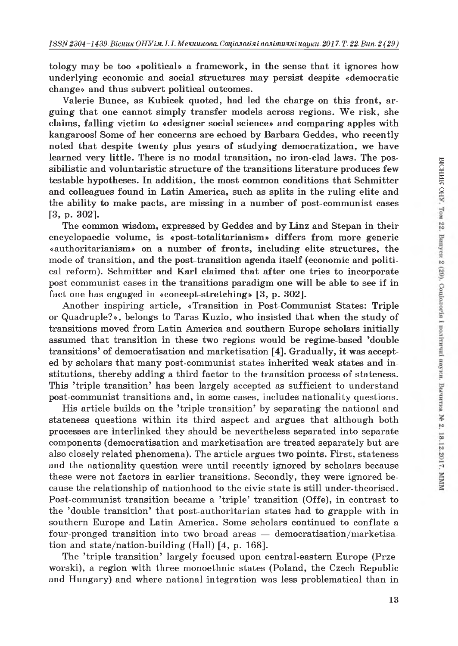tology may be too «political» a framework, in the sense that it ignores how underlying economic and social structures may persist despite «democratic change» and thus subvert political outcomes.

Valerie Bunce, as Kubicek quoted, had led the charge on this front, arguing that one cannot simply transfer models across regions. We risk, she claims, falling victim to «designer social science» and comparing apples with kangaroos! Some of her concerns are echoed by Barbara Geddes, who recently noted that despite twenty plus years of studying democratization, we have learned very little. There is no modal transition, no iron-clad laws. The possibilistic and voluntaristic structure of the transitions literature produces few testable hypotheses. In addition, the most common conditions that Schmitter and colleagues found in Latin America, such as splits in the ruling elite and the ability to make pacts, are missing in a number of post-communist cases [3, p. 302].

The common wisdom, expressed by Geddes and by Linz and Stepan in their encyclopaedic volume, is «post-totalitarianism» differs from more generic «authoritarianism» on a number of fronts, including elite structures, the mode of transition, and the post-transition agenda itself (economic and political reform). Schmitter and Karl claimed that after one tries to incorporate post-communist cases in the transitions paradigm one will be able to see if in fact one has engaged in «concept-stretching» [3, p. 302].

Another inspiring article, «Transition in Post-Communist States: Triple or Quadruple?», belongs to Taras Kuzio, who insisted that when the study of transitions moved from Latin America and southern Europe scholars initially assumed that transition in these two regions would be regime-based 'double transitions' of democratisation and marketisation [4]. Gradually, it was accepted by scholars that many post-communist states inherited weak states and institutions, thereby adding a third factor to the transition process of stateness. This 'triple transition' has been largely accepted as sufficient to understand post-communist transitions and, in some cases, includes nationality questions.

His article builds on the 'triple transition' by separating the national and stateness questions within its third aspect and argues that although both processes are interlinked they should be nevertheless separated into separate components (democratisation and marketisation are treated separately but are also closely related phenomena). The article argues two points. First, stateness and the nationality question were until recently ignored by scholars because these were not factors in earlier transitions. Secondly, they were ignored because the relationship of nationhood to the civic state is still under-theorised. Post-communist transition became a 'triple' transition (Offe), in contrast to the 'double transition' that post-authoritarian states had to grapple with in southern Europe and Latin America. Some scholars continued to conflate a four-pronged transition into two broad areas — democratisation/marketisation and state/nation-building (Hall) [4, p. 168].

The 'triple transition' largely focused upon central-eastern Europe (Przeworski), a region with three monoethnic states (Poland, the Czech Republic and Hungary) and where national integration was less problematical than in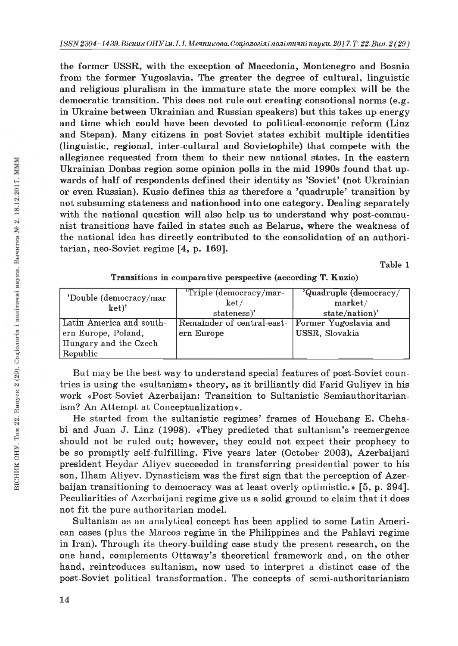the former USSR, with the exception of Macedonia, Montenegro and Bosnia from the former Yugoslavia. The greater the degree of cultural, linguistic and religious pluralism in the immature state the more complex will be the democratic transition. This does not rule out creating consotional norms (e.g. in Ukraine between Ukrainian and Russian speakers) but this takes up energy and time which could have been devoted to political-economic reform (Linz and Stepan). Many citizens in post-Soviet states exhibit multiple identities (linguistic, regional, inter-cultural and Sovietophile) that compete with the allegiance requested from them to their new national states. In the eastern Ukrainian Donbas region some opinion polls in the mid-1990s found that upwards of half of respondents defined their identity as 'Soviet' (not Ukrainian or even Russian). Kusio defines this as therefore a 'quadruple' transition by not subsuming stateness and nationhood into one category. Dealing separately with the national question will also help us to understand why post-communist transitions have failed in states such as Belarus, where the weakness of the national idea has directly contributed to the consolidation of an authoritarian, neo-Soviet regime [4, p. 169].

Table 1

| Transitions in comparative perspective (according T. Kuzio) |  |  |  |  |
|-------------------------------------------------------------|--|--|--|--|
|-------------------------------------------------------------|--|--|--|--|

| 'Double (democracy/mar-<br>ket)' | 'Triple (democracy/mar-<br>ket/<br>stateness)' | 'Quadruple (democracy/<br>market/<br>state/nation)' |  |
|----------------------------------|------------------------------------------------|-----------------------------------------------------|--|
| Latin America and south-         | Remainder of central-east-                     | Former Yugoslavia and                               |  |
| ern Europe, Poland,              | ern Europe                                     | USSR, Slovakia                                      |  |
| Hungary and the Czech            |                                                |                                                     |  |
| Republic                         |                                                |                                                     |  |

But may be the best way to understand special features of post-Soviet countries is using the «sultanism» theory, as it brilliantly did Farid Guliyev in his work «Post-Soviet Azerbaijan: Transition to Sultanistic Semiauthoritarianism? An Attempt at Conceptualization».

He started from the sultanistic regimes' frames of Houchang E. Chehabi and Juan J. Linz (1998). «They predicted that sultanism's reemergence should not be ruled out; however, they could not expect their prophecy to be so promptly self-fulfilling. Five years later (October 2003), Azerbaijani president Heydar Aliyev succeeded in transferring presidential power to his son, Ilham Aliyev. Dynasticism was the first sign that the perception of Azerbaijan transitioning to democracy was at least overly optimistic.» [5, p. 394]. Peculiarities of Azerbaijani regime give us a solid ground to claim that it does not fit the pure authoritarian model.

Sultanism as an analytical concept has been applied to some Latin American cases (plus the Marcos regime in the Philippines and the Pahlavi regime in Iran). Through its theory-building case study the present research, on the one hand, complements Ottaway's theoretical framework and, on the other hand, reintroduces sultanism, now used to interpret a distinct case of the post-Soviet political transformation. The concepts of semi-authoritarianism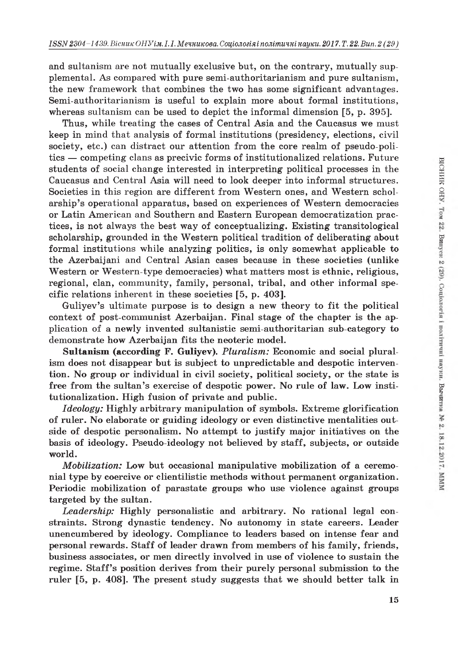and sultanism are not mutually exclusive but, on the contrary, mutually supplemental. As compared with pure semi-authoritarianism and pure sultanism, the new framework that combines the two has some significant advantages. Semi-authoritarianism is useful to explain more about formal institutions, whereas sultanism can be used to depict the informal dimension [5, p. 395].

Thus, while treating the cases of Central Asia and the Caucasus we must keep in mind that analysis of formal institutions (presidency, elections, civil society, etc.) can distract our attention from the core realm of pseudo-politics — competing clans as precivic forms of institutionalized relations. Future students of social change interested in interpreting political processes in the Caucasus and Central Asia will need to look deeper into informal structures. Societies in this region are different from Western ones, and Western scholarship's operational apparatus, based on experiences of Western democracies or Latin American and Southern and Eastern European democratization practices, is not always the best way of conceptualizing. Existing transitological scholarship, grounded in the Western political tradition of deliberating about formal institutions while analyzing politics, is only somewhat applicable to the Azerbaijani and Central Asian cases because in these societies (unlike Western or Western-type democracies) what matters most is ethnic, religious, regional, clan, community, family, personal, tribal, and other informal specific relations inherent in these societies [5, p. 403].

Guliyev's ultimate purpose is to design a new theory to fit the political context of post-communist Azerbaijan. Final stage of the chapter is the application of a newly invented sultanistic semi-authoritarian sub-category to demonstrate how Azerbaijan fits the neoteric model.

Sultanism (according F. Guliyev). *Pluralism:* Economic and social pluralism does not disappear but is subject to unpredictable and despotic intervention. No group or individual in civil society, political society, or the state is free from the sultan's exercise of despotic power. No rule of law. Low institutionalization. High fusion of private and public.

*Ideology:* Highly arbitrary manipulation of symbols. Extreme glorification of ruler. No elaborate or guiding ideology or even distinctive mentalities outside of despotic personalism. No attempt to justify major initiatives on the basis of ideology. Pseudo-ideology not believed by staff, subjects, or outside world.

*Mobilization:* Low but occasional manipulative mobilization of a ceremonial type by coercive or clientilistic methods without permanent organization. Periodic mobilization of parastate groups who use violence against groups targeted by the sultan.

*Leadership:* Highly personalistic and arbitrary. No rational legal constraints. Strong dynastic tendency. No autonomy in state careers. Leader unencumbered by ideology. Compliance to leaders based on intense fear and personal rewards. Staff of leader drawn from members of his family, friends, business associates, or men directly involved in use of violence to sustain the regime. Staff's position derives from their purely personal submission to the ruler [5, p. 408]. The present study suggests that we should better talk in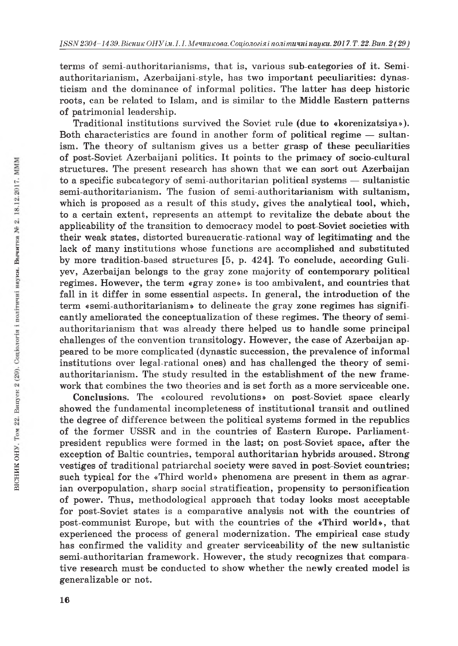terms of semi-authoritarianisms, that is, various sub-categories of it. Semiauthoritarianism, Azerbaijani-style, has two important peculiarities: dynasticism and the dominance of informal politics. The latter has deep historic roots, can be related to Islam, and is similar to the Middle Eastern patterns of patrimonial leadership.

Traditional institutions survived the Soviet rule (due to «korenizatsiya»). Both characteristics are found in another form of political regime — sultanism. The theory of sultanism gives us a better grasp of these peculiarities of post-Soviet Azerbaijani politics. It points to the primacy of socio-cultural structures. The present research has shown that we can sort out Azerbaijan to a specific subcategory of semi-authoritarian political systems — sultanistic semi-authoritarianism. The fusion of semi-authoritarianism with sultanism, which is proposed as a result of this study, gives the analytical tool, which, to a certain extent, represents an attempt to revitalize the debate about the applicability of the transition to democracy model to post-Soviet societies with their weak states, distorted bureaucratic-rational way of legitimating and the lack of many institutions whose functions are accomplished and substituted by more tradition-based structures [5, p. 424]. To conclude, according Guliyev, Azerbaijan belongs to the gray zone majority of contemporary political regimes. However, the term «gray zone» is too ambivalent, and countries that fall in it differ in some essential aspects. In general, the introduction of the term «semi-authoritarianism» to delineate the gray zone regimes has significantly ameliorated the conceptualization of these regimes. The theory of semiauthoritarianism that was already there helped us to handle some principal challenges of the convention transitology. However, the case of Azerbaijan appeared to be more complicated (dynastic succession, the prevalence of informal institutions over legal-rational ones) and has challenged the theory of semiauthoritarianism. The study resulted in the establishment of the new framework that combines the two theories and is set forth as a more serviceable one.

Conclusions. The «coloured revolutions» on post-Soviet space clearly showed the fundamental incompleteness of institutional transit and outlined the degree of difference between the political systems formed in the republics of the former USSR and in the countries of Eastern Europe. Parliamentpresident republics were formed in the last; on post-Soviet space, after the exception of Baltic countries, temporal authoritarian hybrids aroused. Strong vestiges of traditional patriarchal society were saved in post-Soviet countries; such typical for the «Third world» phenomena are present in them as agrarian overpopulation, sharp social stratification, propensity to personification of power. Thus, methodological approach that today looks most acceptable for post-Soviet states is a comparative analysis not with the countries of post-communist Europe, but with the countries of the «Third world», that experienced the process of general modernization. The empirical case study has confirmed the validity and greater serviceability of the new sultanistic semi-authoritarian framework. However, the study recognizes that comparative research must be conducted to show whether the newly created model is generalizable or not.